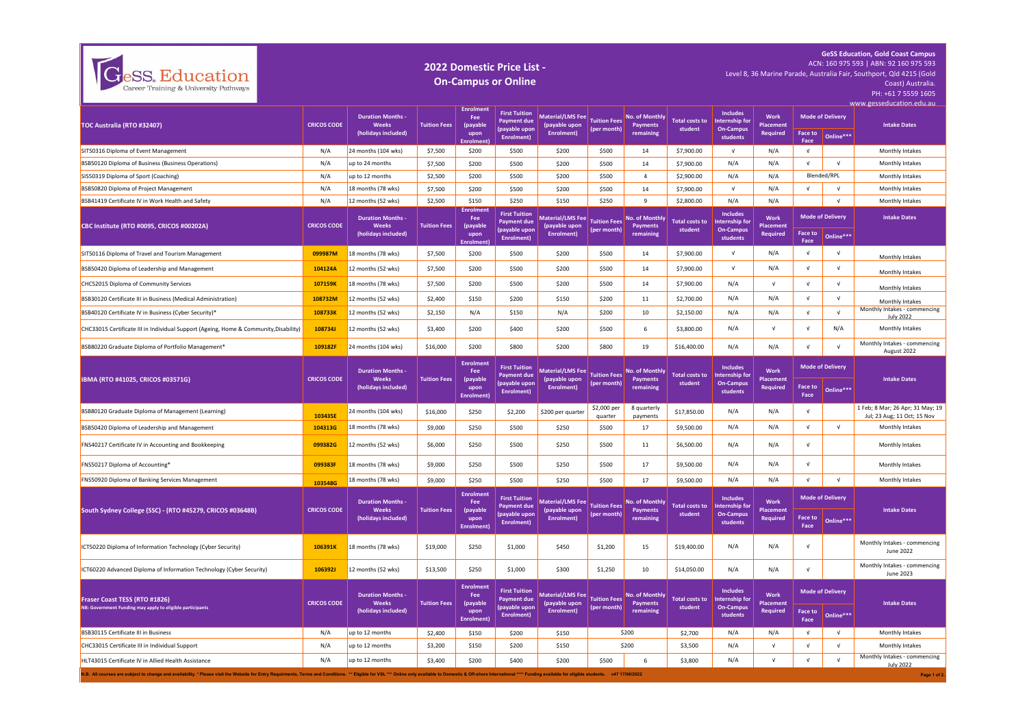| eSS. Education<br>Career Training & University Pathways                                                                                                                                                                        | 2022 Domestic Price List -<br>Level 8, 36 Marine Parade, Australia Fair, Southport, Qld 4215 (Gold<br><b>On-Campus or Online</b> |                                                               |                     |                                                                 |                                                                           |                                                              |                                    |                                                |                                  |                                                                          |                                      |                 | <b>GeSS Education, Gold Coast Campus</b><br>ACN: 160 975 593   ABN: 92 160 975 593<br>Coast) Australia<br>PH: +61 7 5559 1605<br>www.gesseducation.edu.au |                                                                 |
|--------------------------------------------------------------------------------------------------------------------------------------------------------------------------------------------------------------------------------|----------------------------------------------------------------------------------------------------------------------------------|---------------------------------------------------------------|---------------------|-----------------------------------------------------------------|---------------------------------------------------------------------------|--------------------------------------------------------------|------------------------------------|------------------------------------------------|----------------------------------|--------------------------------------------------------------------------|--------------------------------------|-----------------|-----------------------------------------------------------------------------------------------------------------------------------------------------------|-----------------------------------------------------------------|
| TOC Australia (RTO #32407)                                                                                                                                                                                                     | <b>CRICOS CODE</b>                                                                                                               | <b>Duration Months</b><br><b>Weeks</b><br>(holidays included) | <b>Tuition Fees</b> | <b>Enrolment</b><br>Fee<br>(payable<br>upon<br><b>Enrolment</b> | <b>First Tuition</b><br><b>Payment due</b><br>(payable upon<br>Enrolment) | Material/LMS Fee Tuition Fees<br>(payable upon<br>Enrolment) | (per month)                        | No. of Monthly<br>Payments<br>remaining        | <b>Total costs to</b><br>student | <b>Includes</b><br><b>Internship for</b><br><b>On-Campus</b><br>students | Work<br><b>Placement</b><br>Required | Face to<br>Face | <b>Mode of Delivery</b><br>Online***                                                                                                                      | <b>Intake Dates</b>                                             |
| SIT50316 Diploma of Event Management                                                                                                                                                                                           | N/A                                                                                                                              | 24 months (104 wks)                                           | \$7,500             | \$200                                                           | \$500                                                                     | \$200                                                        | \$500                              | 14                                             | \$7,900.00                       | $\sqrt{ }$                                                               | N/A                                  | $\sqrt{ }$      |                                                                                                                                                           | Monthly Intakes                                                 |
| BSB50120 Diploma of Business (Business Operations)                                                                                                                                                                             | N/A                                                                                                                              | up to 24 months                                               | \$7,500             | \$200                                                           | \$500                                                                     | \$200                                                        | \$500                              | 14                                             | \$7,900.00                       | N/A                                                                      | N/A                                  | $\sqrt{ }$      | $\sqrt{ }$                                                                                                                                                | Monthly Intakes                                                 |
| SIS50319 Diploma of Sport (Coaching)                                                                                                                                                                                           | N/A                                                                                                                              | up to 12 months                                               | \$2,500             | \$200                                                           | \$500                                                                     | \$200                                                        | \$500                              | $\overline{4}$                                 | \$2,900.00                       | N/A                                                                      | N/A                                  |                 | Blended/RPL                                                                                                                                               | Monthly Intakes                                                 |
| BSB50820 Diploma of Project Management                                                                                                                                                                                         | N/A                                                                                                                              | 18 months (78 wks)                                            | \$7,500             | \$200                                                           | \$500                                                                     | \$200                                                        | \$500                              | 14                                             | \$7,900.00                       | $\sqrt{ }$                                                               | N/A                                  | $\sqrt{ }$      | V                                                                                                                                                         | Monthly Intakes                                                 |
| BSB41419 Certificate IV in Work Health and Safety                                                                                                                                                                              | N/A                                                                                                                              | 12 months (52 wks)                                            | \$2,500             | \$150                                                           | \$250                                                                     | \$150                                                        | \$250                              | $\mathbf{q}$                                   | \$2,800.00                       | N/A                                                                      | N/A                                  |                 | $\sqrt{ }$                                                                                                                                                | Monthly Intakes                                                 |
| CBC Institute (RTO #0095, CRICOS #00202A)                                                                                                                                                                                      | <b>CRICOS CODE</b>                                                                                                               | <b>Duration Months</b><br><b>Weeks</b><br>(holidays included) | <b>Tuition Fees</b> | ırolmen<br>Fee<br>(payable<br>upon<br><b>Enrolment</b>          | <b>First Tuition</b><br><b>Payment due</b><br>(payable upon<br>Enrolment) | <b>Material/LMS Fee</b><br>(payable upon<br>Enrolment)       | <b>Tuition Fees</b><br>(per month) | No. of Monthly<br><b>Payments</b><br>remaining | <b>Total costs to</b><br>student | <b>Includes</b><br>Internship for<br><b>On-Campus</b><br>students        | Work<br>Placement<br>Required        | Face to<br>Face | <b>Mode of Delivery</b><br>Online***                                                                                                                      | <b>Intake Dates</b>                                             |
| SIT50116 Diploma of Travel and Tourism Management                                                                                                                                                                              | 099987M                                                                                                                          | 18 months (78 wks)                                            | \$7,500             | \$200                                                           | \$500                                                                     | \$200                                                        | \$500                              | 14                                             | \$7,900.00                       | $\sqrt{ }$                                                               | N/A                                  | $\sqrt{ }$      | $\sqrt{ }$                                                                                                                                                | Monthly Intakes                                                 |
| BSB50420 Diploma of Leadership and Management                                                                                                                                                                                  | 104124A                                                                                                                          | 12 months (52 wks)                                            | \$7,500             | \$200                                                           | \$500                                                                     | \$200                                                        | \$500                              | 14                                             | \$7,900.00                       | $\sqrt{ }$                                                               | N/A                                  | $\sqrt{ }$      | $\sqrt{ }$                                                                                                                                                | Monthly Intakes                                                 |
| CHC52015 Diploma of Community Services                                                                                                                                                                                         | 107159K                                                                                                                          | 18 months (78 wks)                                            | \$7,500             | \$200                                                           | \$500                                                                     | \$200                                                        | \$500                              | 14                                             | \$7,900.00                       | N/A                                                                      | $\sqrt{ }$                           | $\sqrt{ }$      | $\sqrt{ }$                                                                                                                                                |                                                                 |
| BSB30120 Certificate III in Business (Medical Administration)                                                                                                                                                                  | 108732M                                                                                                                          | 12 months (52 wks)                                            | \$2,400             | \$150                                                           | \$200                                                                     | \$150                                                        | \$200                              | 11                                             | \$2,700.00                       | N/A                                                                      | N/A                                  | $\sqrt{ }$      | $\sqrt{ }$                                                                                                                                                | Monthly Intakes<br>Monthly Intakes                              |
| BSB40120 Certificate IV in Business (Cyber Security)*                                                                                                                                                                          | 108733K                                                                                                                          | 12 months (52 wks)                                            | \$2,150             | N/A                                                             | \$150                                                                     | N/A                                                          | \$200                              | 10                                             | \$2,150.00                       | N/A                                                                      | N/A                                  | $\sqrt{ }$      | $\sqrt{ }$                                                                                                                                                | Monthly Intakes - commencing                                    |
| CHC33015 Certificate III in Individual Support (Ageing, Home & Community, Disability)                                                                                                                                          | 108734J                                                                                                                          | 12 months (52 wks)                                            | \$3,400             | \$200                                                           | \$400                                                                     | \$200                                                        | \$500                              | 6                                              | \$3,800.00                       | N/A                                                                      | $\sqrt{ }$                           | $\sqrt{ }$      | N/A                                                                                                                                                       | <b>July 2022</b><br>Monthly Intakes                             |
| BSB80220 Graduate Diploma of Portfolio Management*                                                                                                                                                                             | 109182F                                                                                                                          | 24 months (104 wks)                                           | \$16,000            | \$200                                                           | \$800                                                                     | \$200                                                        | \$800                              | 19                                             | \$16,400.00                      | N/A                                                                      | N/A                                  | $\sqrt{ }$      | $\sqrt{ }$                                                                                                                                                | Monthly Intakes - commencing<br>August 2022                     |
| IBMA (RTO #41025, CRICOS #03571G)                                                                                                                                                                                              | <b>CRICOS CODE</b>                                                                                                               | <b>Duration Months</b><br><b>Weeks</b><br>(holidays included) | <b>Tuition Fees</b> | <b>Enrolment</b><br>Fee<br>(payable<br>upon<br>Enrolment)       | <b>First Tuition</b><br><b>Payment due</b><br>(payable upon<br>Enrolment) | <b>Material/LMS Fee</b><br>(payable upon<br>Enrolment)       | <b>Tuition Fees</b><br>(per month) | No. of Monthly<br>Payments<br>remaining        | <b>Total costs to</b><br>student | <b>Includes</b><br>Internship for<br><b>On-Campus</b><br>students        | Work<br><b>Placement</b><br>Required | Face to<br>Face | <b>Mode of Delivery</b><br>Online***                                                                                                                      | <b>Intake Dates</b>                                             |
| BSB80120 Graduate Diploma of Management (Learning)                                                                                                                                                                             | 103435E                                                                                                                          | 24 months (104 wks)                                           | \$16,000            | \$250                                                           | \$2,200                                                                   | \$200 per quarter                                            | \$2,000 per<br>quarter             | 8 quarterly<br>payments                        | \$17,850.00                      | N/A                                                                      | N/A                                  | $\sqrt{ }$      |                                                                                                                                                           | 1 Feb; 8 Mar; 26 Apr; 31 May; 19<br>Jul; 23 Aug; 11 Oct; 15 Nov |
| BSB50420 Diploma of Leadership and Management                                                                                                                                                                                  | 104313G                                                                                                                          | 18 months (78 wks)                                            | \$9,000             | \$250                                                           | \$500                                                                     | \$250                                                        | \$500                              | 17                                             | \$9,500.00                       | N/A                                                                      | N/A                                  | $\sqrt{ }$      | $\sqrt{ }$                                                                                                                                                | Monthly Intakes                                                 |
| FNS40217 Certificate IV in Accounting and Bookkeeping                                                                                                                                                                          | 099382G                                                                                                                          | 12 months (52 wks)                                            | \$6,000             | \$250                                                           | \$500                                                                     | \$250                                                        | \$500                              | 11                                             | \$6,500.00                       | N/A                                                                      | N/A                                  | $\sqrt{ }$      |                                                                                                                                                           | Monthly Intakes                                                 |
| FNS50217 Diploma of Accounting*                                                                                                                                                                                                | 099383F                                                                                                                          | 18 months (78 wks)                                            | \$9,000             | \$250                                                           | \$500                                                                     | \$250                                                        | \$500                              | 17                                             | \$9,500.00                       | N/A                                                                      | N/A                                  | $\sqrt{ }$      |                                                                                                                                                           | Monthly Intakes                                                 |
| FNS50920 Diploma of Banking Services Management                                                                                                                                                                                | 103548G                                                                                                                          | 18 months (78 wks)                                            | \$9,000             | \$250                                                           | \$500                                                                     | \$250                                                        | \$500                              | 17                                             | \$9,500.00                       | N/A                                                                      | N/A                                  | $\sqrt{ }$      | $\sqrt{ }$                                                                                                                                                | Monthly Intakes                                                 |
| South Sydney College (SSC) - (RTO #45279, CRICOS #03648B)                                                                                                                                                                      | <b>CRICOS CODE</b>                                                                                                               | <b>Duration Months</b><br><b>Weeks</b><br>(holidays included) | <b>Tuition Fees</b> | <b>Enrolment</b><br>Fee<br>(payable<br>upon<br>Enrolment)       | <b>First Tuition</b><br><b>Payment due</b><br>(payable upon<br>Enrolment) | <b>Material/LMS Fee</b><br>(payable upon<br>Enrolment)       | <b>Tuition Fees</b><br>(per month) | No. of Monthly<br>Payments<br>remaining        | <b>Total costs to</b><br>student | <b>Includes</b><br><b>Internship for</b><br><b>On-Campus</b><br>students | <b>Work</b><br>Placement<br>Required | Face to<br>Face | <b>Mode of Delivery</b><br>Online***                                                                                                                      | <b>Intake Dates</b>                                             |
| ICT50220 Diploma of Information Technology (Cyber Security)                                                                                                                                                                    | 106391K                                                                                                                          | 18 months (78 wks)                                            | \$19,000            | \$250                                                           | \$1,000                                                                   | \$450                                                        | \$1,200                            | 15                                             | \$19,400.00                      | N/A                                                                      | N/A                                  | $\sqrt{ }$      |                                                                                                                                                           | Monthly Intakes - commencing<br>June 2022                       |
| ICT60220 Advanced Diploma of Information Technology (Cyber Security)                                                                                                                                                           | 106392J                                                                                                                          | 12 months (52 wks)                                            | \$13,500            | \$250                                                           | \$1,000                                                                   | \$300                                                        | \$1,250                            | $10\,$                                         | \$14,050.00                      | N/A                                                                      | N/A                                  | V               |                                                                                                                                                           | Monthly Intakes - commencing<br>June 2023                       |
| Fraser Coast TESS (RTO #1826)<br>NB: Government Funding may apply to eligible participants                                                                                                                                     | <b>CRICOS CODE</b>                                                                                                               | <b>Duration Months</b><br><b>Weeks</b><br>(holidays included) | <b>Tuition Fees</b> | <b>Enrolment</b><br>Fee<br>(payable<br>upon<br>Enrolment)       | <b>First Tuition</b><br><b>Payment due</b><br>(payable upon<br>Enrolment) | <b>Material/LMS Fee</b><br>(payable upon<br>Enrolment)       | <b>Tuition Fees</b><br>(per month) | <b>No. of Monthly</b><br>Payments<br>remaining | <b>Total costs to</b><br>student | <b>Includes</b><br>Internship for<br><b>On-Campus</b><br>students        | Work<br>Placement<br>Required        | Face to<br>Face | <b>Mode of Delivery</b><br>Online***                                                                                                                      | <b>Intake Dates</b>                                             |
| BSB30115 Certificate III in Business                                                                                                                                                                                           | N/A                                                                                                                              | up to 12 months                                               | \$2,400             | \$150                                                           | \$200                                                                     | \$150                                                        |                                    | \$200                                          | \$2,700                          | N/A                                                                      | N/A                                  | $\sqrt{ }$      | $\sqrt{ }$                                                                                                                                                | Monthly Intakes                                                 |
| CHC33015 Certificate III in Individual Support                                                                                                                                                                                 | N/A                                                                                                                              | up to 12 months                                               | \$3,200             | \$150                                                           | \$200                                                                     | \$150                                                        |                                    | \$200                                          | \$3,500                          | N/A                                                                      | $\sqrt{ }$                           | $\sqrt{ }$      | $\sqrt{ }$                                                                                                                                                | Monthly Intakes                                                 |
| HI T43015 Certificate IV in Allied Health Assistance                                                                                                                                                                           | N/A                                                                                                                              | up to 12 months                                               | \$3,400             | \$200                                                           | \$400                                                                     | \$200                                                        | \$500                              | 6                                              | \$3,800                          | N/A                                                                      | $\sqrt{ }$                           | $\sqrt{ }$      | $\sqrt{ }$                                                                                                                                                | Monthly Intakes - commencing<br><b>July 2022</b>                |
| N.B. All courses are subject to change and availability. * Please visit the Website for Entry Requirments, Terms and Conditions. ** Eligible for VSL *** Online only available to Domestic & Off-shore International **** Fund |                                                                                                                                  |                                                               |                     |                                                                 |                                                                           |                                                              |                                    |                                                |                                  |                                                                          |                                      |                 |                                                                                                                                                           | Page 1 of 2                                                     |